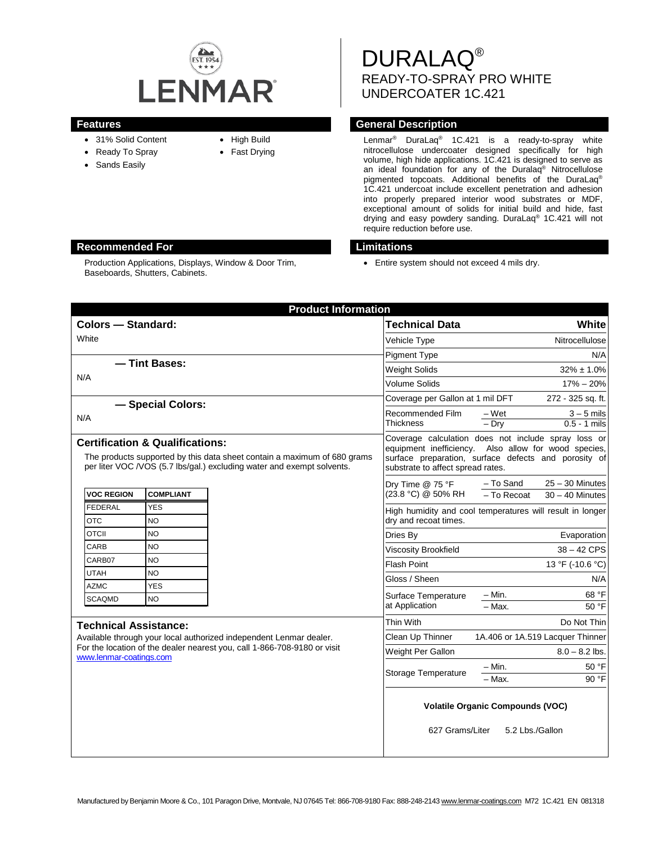

- 31% Solid Content
- Ready To Spray
- Sands Easily
- High Build
- Fast Drying

DURALAQ® READY-TO-SPRAY PRO WHITE UNDERCOATER 1C.421

## **Features Features General Description**

Lenmar<sup>®</sup> DuraLaq<sup>®</sup> 1C.421 is a ready-to-spray white nitrocellulose undercoater designed specifically for high volume, high hide applications. 1C.421 is designed to serve as an ideal foundation for any of the Duralaq® Nitrocellulose pigmented topcoats. Additional benefits of the DuraLaq® 1C.421 undercoat include excellent penetration and adhesion into properly prepared interior wood substrates or MDF, exceptional amount of solids for initial build and hide, fast drying and easy powdery sanding. DuraLaq® 1C.421 will not require reduction before use.

• Entire system should not exceed 4 mils dry.

| <b>Product Information</b>                                                                                                                                                                       |                         |  |                                                                                                                                                                                                          |                                                                    |
|--------------------------------------------------------------------------------------------------------------------------------------------------------------------------------------------------|-------------------------|--|----------------------------------------------------------------------------------------------------------------------------------------------------------------------------------------------------------|--------------------------------------------------------------------|
| <b>Colors - Standard:</b>                                                                                                                                                                        |                         |  | <b>Technical Data</b>                                                                                                                                                                                    | White                                                              |
| White                                                                                                                                                                                            |                         |  | Vehicle Type                                                                                                                                                                                             | Nitrocellulose                                                     |
|                                                                                                                                                                                                  |                         |  | <b>Pigment Type</b>                                                                                                                                                                                      | N/A                                                                |
| - Tint Bases:<br>N/A                                                                                                                                                                             |                         |  | <b>Weight Solids</b>                                                                                                                                                                                     | $32\% \pm 1.0\%$                                                   |
|                                                                                                                                                                                                  |                         |  | <b>Volume Solids</b>                                                                                                                                                                                     | $17\% - 20\%$                                                      |
|                                                                                                                                                                                                  |                         |  | Coverage per Gallon at 1 mil DFT<br>272 - 325 sq. ft.                                                                                                                                                    |                                                                    |
| - Special Colors:<br>N/A                                                                                                                                                                         |                         |  | Recommended Film<br>Thickness                                                                                                                                                                            | $3 - 5$ mils<br>– Wet<br>$0.5 - 1$ mils<br>$-$ Dry                 |
| <b>Certification &amp; Qualifications:</b><br>The products supported by this data sheet contain a maximum of 680 grams<br>per liter VOC /VOS (5.7 lbs/gal.) excluding water and exempt solvents. |                         |  | Coverage calculation does not include spray loss or<br>equipment inefficiency. Also allow for wood species,<br>surface preparation, surface defects and porosity of<br>substrate to affect spread rates. |                                                                    |
| <b>VOC REGION</b>                                                                                                                                                                                | <b>COMPLIANT</b>        |  | Dry Time @ 75 °F<br>(23.8 °C) @ 50% RH                                                                                                                                                                   | $25 - 30$ Minutes<br>- To Sand<br>- To Recoat<br>$30 - 40$ Minutes |
| <b>FEDERAL</b><br><b>OTC</b>                                                                                                                                                                     | <b>YES</b><br><b>NO</b> |  | High humidity and cool temperatures will result in longer<br>dry and recoat times.                                                                                                                       |                                                                    |
| <b>OTCII</b>                                                                                                                                                                                     | <b>NO</b>               |  | Dries By                                                                                                                                                                                                 | Evaporation                                                        |
| CARB                                                                                                                                                                                             | <b>NO</b>               |  | <b>Viscosity Brookfield</b>                                                                                                                                                                              | $38 - 42$ CPS                                                      |
| CARB07                                                                                                                                                                                           | <b>NO</b>               |  | <b>Flash Point</b>                                                                                                                                                                                       | 13 °F (-10.6 °C)                                                   |
| <b>UTAH</b>                                                                                                                                                                                      | <b>NO</b>               |  | Gloss / Sheen                                                                                                                                                                                            | N/A                                                                |
| <b>AZMC</b>                                                                                                                                                                                      | <b>YES</b>              |  | Surface Temperature<br>at Application                                                                                                                                                                    | 68 °F<br>$- Min.$                                                  |
| <b>SCAQMD</b>                                                                                                                                                                                    | <b>NO</b>               |  |                                                                                                                                                                                                          | $-$ Max.<br>50 °F                                                  |
| <b>Technical Assistance:</b>                                                                                                                                                                     |                         |  | Thin With                                                                                                                                                                                                | Do Not Thin                                                        |
| Available through your local authorized independent Lenmar dealer.<br>For the location of the dealer nearest you, call 1-866-708-9180 or visit<br>www.lenmar-coatings.com                        |                         |  | Clean Up Thinner                                                                                                                                                                                         | 1A.406 or 1A.519 Lacquer Thinner                                   |
|                                                                                                                                                                                                  |                         |  | Weight Per Gallon                                                                                                                                                                                        | $8.0 - 8.2$ lbs.                                                   |
|                                                                                                                                                                                                  |                         |  | Storage Temperature                                                                                                                                                                                      | – Min.<br>50 °F<br>- Max.<br>90 °F                                 |
|                                                                                                                                                                                                  |                         |  | <b>Volatile Organic Compounds (VOC)</b><br>627 Grams/Liter<br>5.2 Lbs./Gallon                                                                                                                            |                                                                    |

### **Recommended For Limitations**

Production Applications, Displays, Window & Door Trim, Baseboards, Shutters, Cabinets.